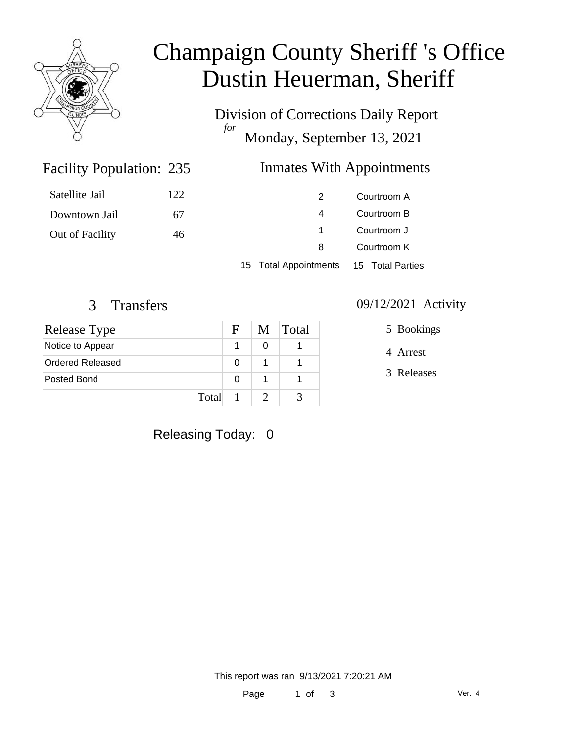

# Champaign County Sheriff 's Office Dustin Heuerman, Sheriff

Division of Corrections Daily Report *for* Monday, September 13, 2021

# Inmates With Appointments

| Satellite Jail  | 122 | 2. | Courtroom A |
|-----------------|-----|----|-------------|
| Downtown Jail   | 67  | 4  | Courtroom B |
| Out of Facility | 46  |    | Courtroom J |
|                 |     | 8  | Courtroom K |
|                 |     |    |             |

15 Total Appointments 15 Total Parties

Facility Population: 235

| Release Type     | F | M | <b>Total</b> |
|------------------|---|---|--------------|
| Notice to Appear |   | ი |              |
| Ordered Released | 0 |   |              |
| Posted Bond      | 0 |   |              |
| Total            |   |   |              |

#### 3 Transfers 09/12/2021 Activity

5 Bookings

4 Arrest

3 Releases

# Releasing Today: 0

This report was ran 9/13/2021 7:20:21 AM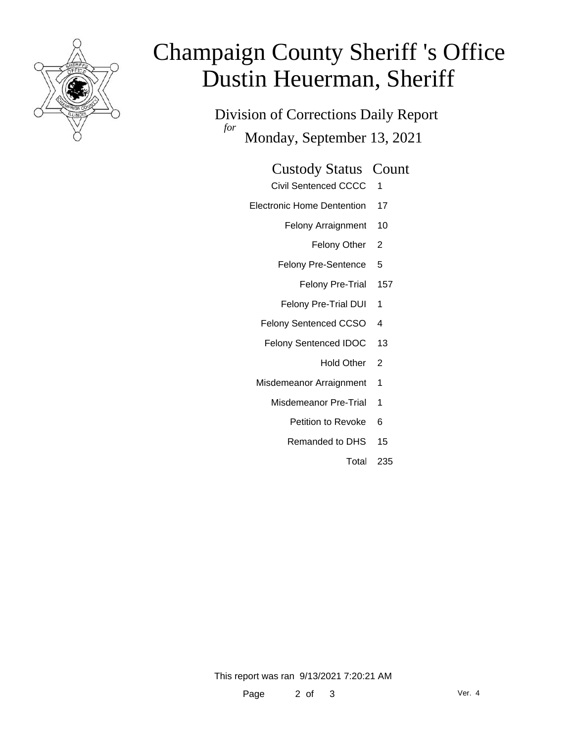

# Champaign County Sheriff 's Office Dustin Heuerman, Sheriff

Division of Corrections Daily Report *for* Monday, September 13, 2021

#### Custody Status Count

- Civil Sentenced CCCC 1
- Electronic Home Dentention 17
	- Felony Arraignment 10
		- Felony Other 2
	- Felony Pre-Sentence 5
		- Felony Pre-Trial 157
	- Felony Pre-Trial DUI 1
	- Felony Sentenced CCSO 4
	- Felony Sentenced IDOC 13
		- Hold Other 2
	- Misdemeanor Arraignment 1
		- Misdemeanor Pre-Trial 1
			- Petition to Revoke 6
			- Remanded to DHS 15
				- Total 235

This report was ran 9/13/2021 7:20:21 AM